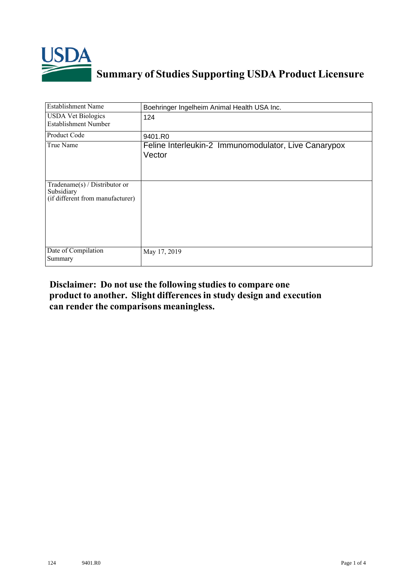

| <b>Establishment Name</b>                                                       | Boehringer Ingelheim Animal Health USA Inc.                    |  |  |  |  |  |
|---------------------------------------------------------------------------------|----------------------------------------------------------------|--|--|--|--|--|
| <b>USDA Vet Biologics</b><br>Establishment Number                               | 124                                                            |  |  |  |  |  |
| Product Code                                                                    | 9401.R0                                                        |  |  |  |  |  |
| True Name                                                                       | Feline Interleukin-2 Immunomodulator, Live Canarypox<br>Vector |  |  |  |  |  |
| Tradename(s) / Distributor or<br>Subsidiary<br>(if different from manufacturer) |                                                                |  |  |  |  |  |
| Date of Compilation<br>Summary                                                  | May 17, 2019                                                   |  |  |  |  |  |

## **Disclaimer: Do not use the following studiesto compare one product to another. Slight differencesin study design and execution can render the comparisons meaningless.**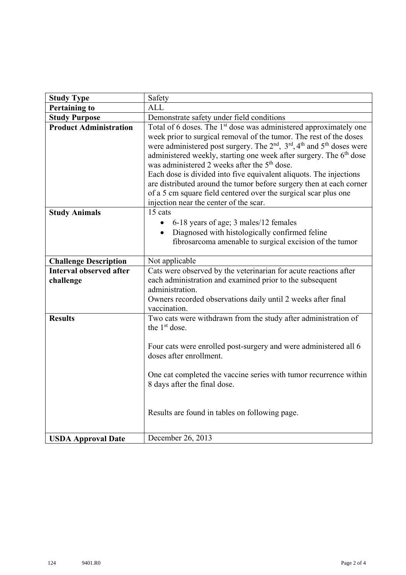| <b>Study Type</b>                           | Safety                                                                                                                                                                                                                                                                                                                                                                                                                                                                                                                                                                                                                                        |  |  |  |  |  |
|---------------------------------------------|-----------------------------------------------------------------------------------------------------------------------------------------------------------------------------------------------------------------------------------------------------------------------------------------------------------------------------------------------------------------------------------------------------------------------------------------------------------------------------------------------------------------------------------------------------------------------------------------------------------------------------------------------|--|--|--|--|--|
| <b>Pertaining to</b>                        | <b>ALL</b>                                                                                                                                                                                                                                                                                                                                                                                                                                                                                                                                                                                                                                    |  |  |  |  |  |
| <b>Study Purpose</b>                        | Demonstrate safety under field conditions                                                                                                                                                                                                                                                                                                                                                                                                                                                                                                                                                                                                     |  |  |  |  |  |
| <b>Product Administration</b>               | Total of 6 doses. The 1 <sup>st</sup> dose was administered approximately one<br>week prior to surgical removal of the tumor. The rest of the doses<br>were administered post surgery. The $2nd$ , $3rd$ , $4th$ and $5th$ doses were<br>administered weekly, starting one week after surgery. The 6 <sup>th</sup> dose<br>was administered 2 weeks after the 5 <sup>th</sup> dose.<br>Each dose is divided into five equivalent aliquots. The injections<br>are distributed around the tumor before surgery then at each corner<br>of a 5 cm square field centered over the surgical scar plus one<br>injection near the center of the scar. |  |  |  |  |  |
| <b>Study Animals</b>                        | 15 cats<br>6-18 years of age; 3 males/12 females<br>$\bullet$<br>Diagnosed with histologically confirmed feline<br>fibrosarcoma amenable to surgical excision of the tumor                                                                                                                                                                                                                                                                                                                                                                                                                                                                    |  |  |  |  |  |
| <b>Challenge Description</b>                | Not applicable                                                                                                                                                                                                                                                                                                                                                                                                                                                                                                                                                                                                                                |  |  |  |  |  |
| <b>Interval observed after</b><br>challenge | Cats were observed by the veterinarian for acute reactions after<br>each administration and examined prior to the subsequent<br>administration.<br>Owners recorded observations daily until 2 weeks after final<br>vaccination.                                                                                                                                                                                                                                                                                                                                                                                                               |  |  |  |  |  |
| <b>Results</b>                              | Two cats were withdrawn from the study after administration of<br>the 1 <sup>st</sup> dose.<br>Four cats were enrolled post-surgery and were administered all 6<br>doses after enrollment.<br>One cat completed the vaccine series with tumor recurrence within<br>8 days after the final dose.<br>Results are found in tables on following page.                                                                                                                                                                                                                                                                                             |  |  |  |  |  |
| <b>USDA Approval Date</b>                   | December 26, 2013                                                                                                                                                                                                                                                                                                                                                                                                                                                                                                                                                                                                                             |  |  |  |  |  |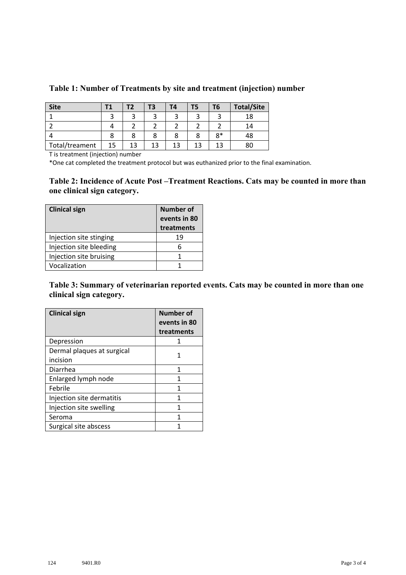| <b>Site</b>    |    | Τ2 | T3 | Τ4 | T5 | Т6   | <b>Total/Site</b> |  |
|----------------|----|----|----|----|----|------|-------------------|--|
|                |    |    |    |    | ◠  | ີ    | 18                |  |
|                |    |    |    |    |    |      | 14                |  |
|                |    |    |    |    |    | $8*$ | 48                |  |
| Total/treament | 15 | 13 | 13 | 13 | 13 | 13   | 80                |  |

## **Table 1: Number of Treatments by site and treatment (injection) number**

T is treatment (injection) number

\*One cat completed the treatment protocol but was euthanized prior to the final examination.

## **Table 2: Incidence of Acute Post –Treatment Reactions. Cats may be counted in more than one clinical sign category.**

| <b>Clinical sign</b>    | <b>Number of</b> |  |  |
|-------------------------|------------------|--|--|
|                         | events in 80     |  |  |
|                         | treatments       |  |  |
| Injection site stinging | 19               |  |  |
| Injection site bleeding | 6                |  |  |
| Injection site bruising |                  |  |  |
| Vocalization            |                  |  |  |

## **Table 3: Summary of veterinarian reported events. Cats may be counted in more than one clinical sign category.**

| <b>Clinical sign</b>       | Number of<br>events in 80 |  |  |
|----------------------------|---------------------------|--|--|
|                            | treatments                |  |  |
| Depression                 | 1                         |  |  |
| Dermal plaques at surgical | 1                         |  |  |
| incision                   |                           |  |  |
| Diarrhea                   | 1                         |  |  |
| Enlarged lymph node        | 1                         |  |  |
| Febrile                    | 1                         |  |  |
| Injection site dermatitis  | 1                         |  |  |
| Injection site swelling    | 1                         |  |  |
| Seroma                     | 1                         |  |  |
| Surgical site abscess      |                           |  |  |